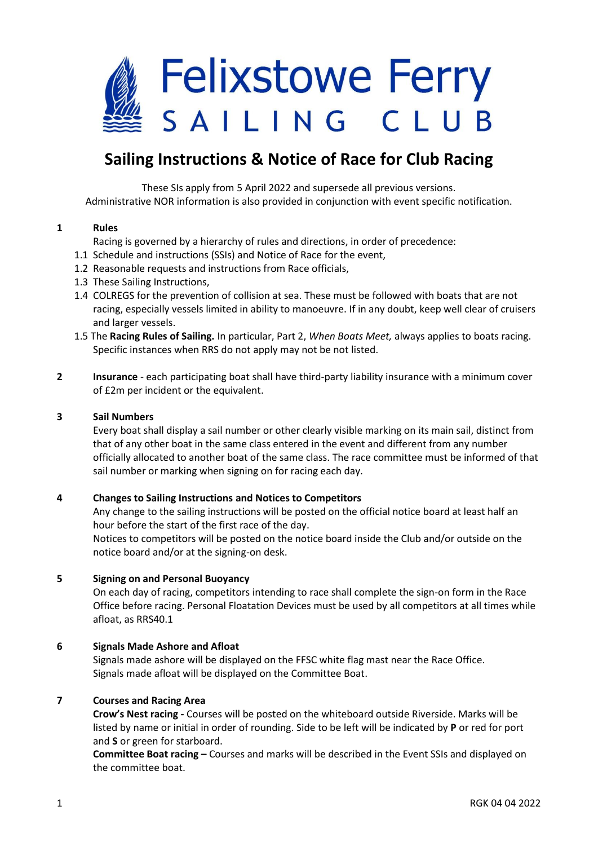# **Felixstowe Ferry** SAILING CLUB

# **Sailing Instructions & Notice of Race for Club Racing**

These SIs apply from 5 April 2022 and supersede all previous versions. Administrative NOR information is also provided in conjunction with event specific notification.

## **1 Rules**

Racing is governed by a hierarchy of rules and directions, in order of precedence:

- 1.1 Schedule and instructions (SSIs) and Notice of Race for the event,
- 1.2 Reasonable requests and instructions from Race officials,
- 1.3 These Sailing Instructions,
- 1.4 COLREGS for the prevention of collision at sea. These must be followed with boats that are not racing, especially vessels limited in ability to manoeuvre. If in any doubt, keep well clear of cruisers and larger vessels.
- 1.5 The **[Racing Rules of Sailing.](https://www.sailing.org/tools/documents/WSRRS20212024FinalwithChgsandCorrecns201113-[26798].pdf)** In particular, Part 2, *When Boats Meet,* always applies to boats racing. Specific instances when RRS do not apply may not be not listed.
- **2 Insurance** each participating boat shall have third-party liability insurance with a minimum cover of £2m per incident or the equivalent.

## **3 Sail Numbers**

Every boat shall display a sail number or other clearly visible marking on its main sail, distinct from that of any other boat in the same class entered in the event and different from any number officially allocated to another boat of the same class. The race committee must be informed of that sail number or marking when signing on for racing each day.

# **4 Changes to Sailing Instructions and Notices to Competitors**

Any change to the sailing instructions will be posted on the official notice board at least half an hour before the start of the first race of the day. Notices to competitors will be posted on the notice board inside the Club and/or outside on the notice board and/or at the signing-on desk.

## **5 Signing on and Personal Buoyancy**

On each day of racing, competitors intending to race shall complete the sign-on form in the Race Office before racing. Personal Floatation Devices must be used by all competitors at all times while afloat, as RRS40.1

# **6 Signals Made Ashore and Afloat**

 Signals made ashore will be displayed on the FFSC white flag mast near the Race Office. Signals made afloat will be displayed on the Committee Boat.

# **7 Courses and Racing Area**

**Crow's Nest racing -** Courses will be posted on the whiteboard outside Riverside. Marks will be listed by name or initial in order of rounding. Side to be left will be indicated by **P** or red for port and **S** or green for starboard.

**Committee Boat racing –** Courses and marks will be described in the Event SSIs and displayed on the committee boat.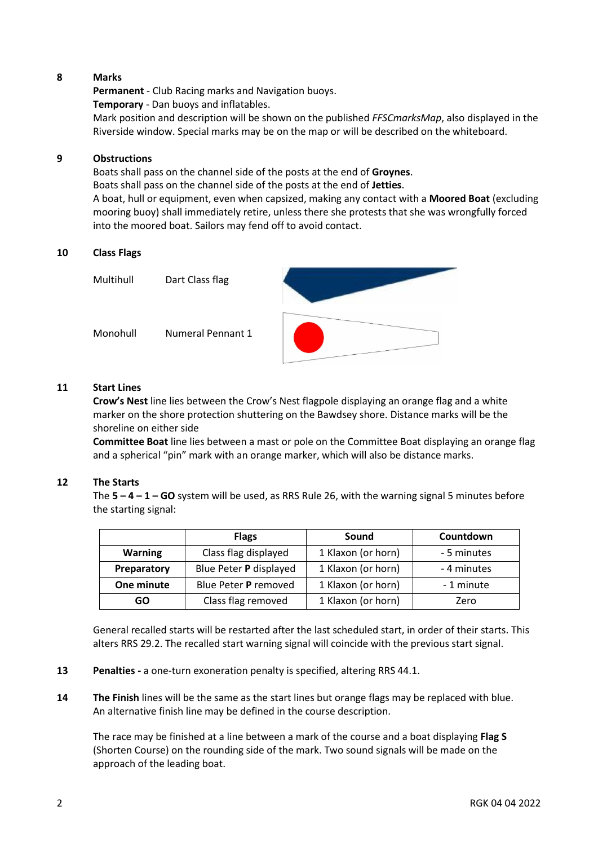## **8 Marks**

**Permanent** - Club Racing marks and Navigation buoys. **Temporary** - Dan buoys and inflatables. Mark position and description will be shown on the published *[FFSCmarksMap](https://ffsc.co.uk/wp-content/uploads/2022/04/Marks-Map-2022.pdf)*, also displayed in the Riverside window. Special marks may be on the map or will be described on the whiteboard.

#### **9 Obstructions**

Boats shall pass on the channel side of the posts at the end of **Groynes**. Boats shall pass on the channel side of the posts at the end of **Jetties**. A boat, hull or equipment, even when capsized, making any contact with a **Moored Boat** (excluding mooring buoy) shall immediately retire, unless there she protests that she was wrongfully forced into the moored boat. Sailors may fend off to avoid contact.

#### **10 Class Flags**

Multihull Dart Class flag Monohull Numeral Pennant 1

# **11 Start Lines**

**Crow's Nest** line lies between the Crow's Nest flagpole displaying an orange flag and a white marker on the shore protection shuttering on the Bawdsey shore. Distance marks will be the shoreline on either side

**Committee Boat** line lies between a mast or pole on the Committee Boat displaying an orange flag and a spherical "pin" mark with an orange marker, which will also be distance marks.

#### **12 The Starts**

The **5 – 4 – 1 – GO** system will be used, as RRS Rule 26, with the warning signal 5 minutes before the starting signal:

|                | <b>Flags</b>           | Sound              | Countdown   |
|----------------|------------------------|--------------------|-------------|
| <b>Warning</b> | Class flag displayed   | 1 Klaxon (or horn) | - 5 minutes |
| Preparatory    | Blue Peter P displayed | 1 Klaxon (or horn) | - 4 minutes |
| One minute     | Blue Peter P removed   | 1 Klaxon (or horn) | - 1 minute  |
| GO             | Class flag removed     | 1 Klaxon (or horn) | Zero        |

General recalled starts will be restarted after the last scheduled start, in order of their starts. This alters RRS 29.2. The recalled start warning signal will coincide with the previous start signal.

- **13 Penalties -** a one-turn exoneration penalty is specified, altering RRS 44.1.
- **14 The Finish** lines will be the same as the start lines but orange flags may be replaced with blue. An alternative finish line may be defined in the course description.

The race may be finished at a line between a mark of the course and a boat displaying **Flag S**  (Shorten Course) on the rounding side of the mark. Two sound signals will be made on the approach of the leading boat.